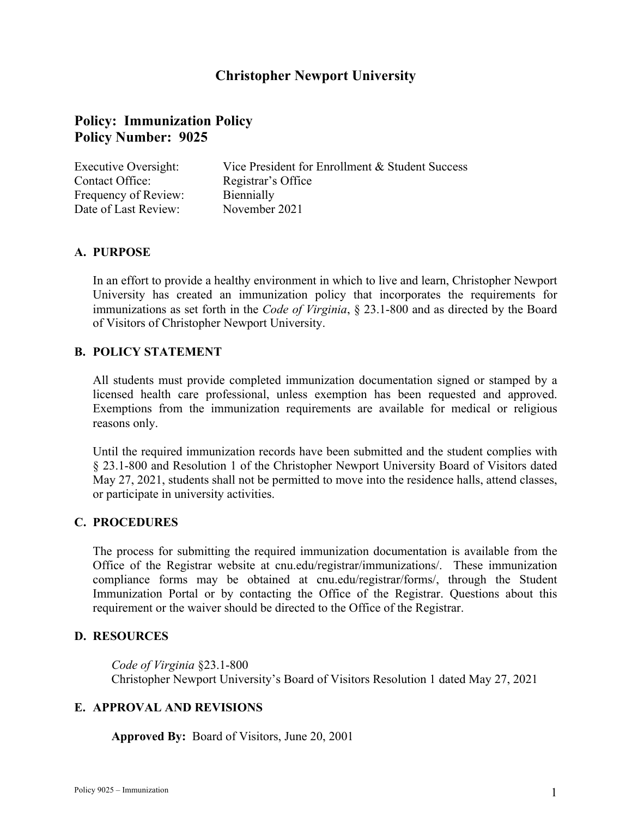## **Christopher Newport University**

# **Policy: Immunization Policy Policy Number: 9025**

| Executive Oversight: | Vice President for Enrollment & Student Success |
|----------------------|-------------------------------------------------|
| Contact Office:      | Registrar's Office                              |
| Frequency of Review: | Biennially                                      |
| Date of Last Review: | November 2021                                   |

### **A. PURPOSE**

 In an effort to provide a healthy environment in which to live and learn, Christopher Newport University has created an immunization policy that incorporates the requirements for immunizations as set forth in the *Code of Virginia*, § 23.1-800 and as directed by the Board of Visitors of Christopher Newport University.

### **B. POLICY STATEMENT**

 All students must provide completed immunization documentation signed or stamped by a Exemptions from the immunization requirements are available for medical or religious licensed health care professional, unless exemption has been requested and approved. reasons only.

 Until the required immunization records have been submitted and the student complies with § 23.1-800 and Resolution 1 of the Christopher Newport University Board of Visitors dated May 27, 2021, students shall not be permitted to move into the residence halls, attend classes, or participate in university activities.

### **C. PROCEDURES**

 The process for submitting the required immunization documentation is available from the Office of the Registrar website at [cnu.edu/registrar/immunizations](https://cnu.edu/registrar/immunizations)/. These immunization compliance forms may be obtained at [cnu.edu/registrar/forms](https://cnu.edu/registrar/forms)/, through the Student Immunization Portal or by contacting the Office of the Registrar. Questions about this requirement or the waiver should be directed to the Office of the Registrar.

### **D. RESOURCES**

*Code of Virginia* §23.1-800 Christopher Newport University's Board of Visitors Resolution 1 dated May 27, 2021

### **E. APPROVAL AND REVISIONS**

**Approved By:** Board of Visitors, June 20, 2001